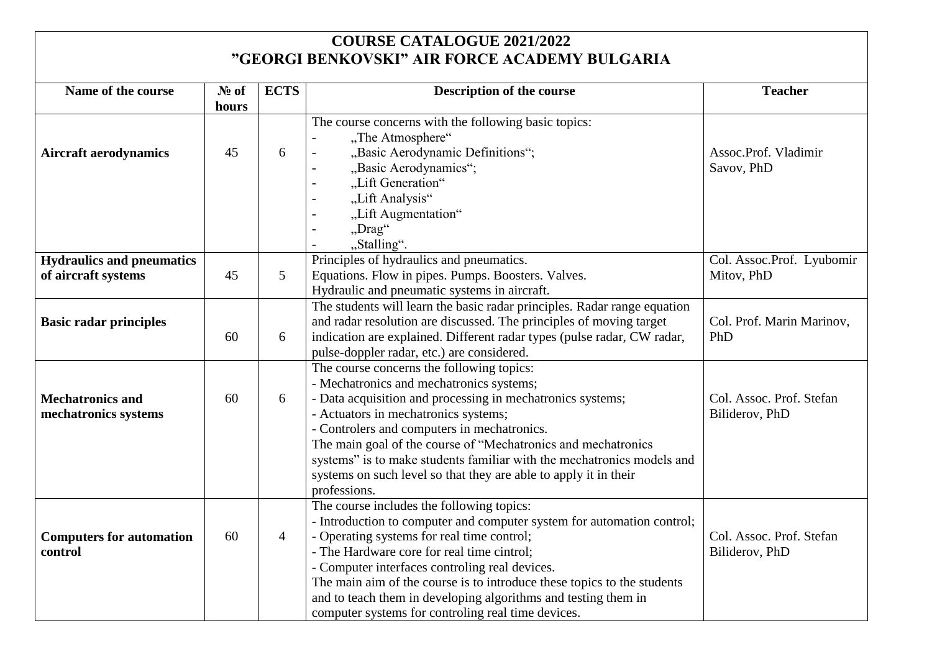## **COURSE CATALOGUE 2021/2022 "GEORGI BENKOVSKI" AIR FORCE ACADEMY BULGARIA**

| Name of the course                                      | No of<br>hours | <b>ECTS</b>    | Description of the course                                                                                                                                                                                                                                                                                                                                                                                                                                                 | <b>Teacher</b>                             |
|---------------------------------------------------------|----------------|----------------|---------------------------------------------------------------------------------------------------------------------------------------------------------------------------------------------------------------------------------------------------------------------------------------------------------------------------------------------------------------------------------------------------------------------------------------------------------------------------|--------------------------------------------|
| <b>Aircraft aerodynamics</b>                            | 45             | 6              | The course concerns with the following basic topics:<br>"The Atmosphere"<br>"Basic Aerodynamic Definitions";<br>"Basic Aerodynamics";<br>"Lift Generation"<br>"Lift Analysis"<br>"Lift Augmentation"<br>"Drag"<br>"Stalling".                                                                                                                                                                                                                                             | Assoc.Prof. Vladimir<br>Savov, PhD         |
| <b>Hydraulics and pneumatics</b><br>of aircraft systems | 45             | 5              | Principles of hydraulics and pneumatics.<br>Equations. Flow in pipes. Pumps. Boosters. Valves.<br>Hydraulic and pneumatic systems in aircraft.                                                                                                                                                                                                                                                                                                                            | Col. Assoc.Prof. Lyubomir<br>Mitov, PhD    |
| <b>Basic radar principles</b>                           | 60             | 6              | The students will learn the basic radar principles. Radar range equation<br>and radar resolution are discussed. The principles of moving target<br>indication are explained. Different radar types (pulse radar, CW radar,<br>pulse-doppler radar, etc.) are considered.                                                                                                                                                                                                  | Col. Prof. Marin Marinov,<br>PhD           |
| <b>Mechatronics and</b><br>mechatronics systems         | 60             | 6              | The course concerns the following topics:<br>- Mechatronics and mechatronics systems;<br>- Data acquisition and processing in mechatronics systems;<br>- Actuators in mechatronics systems;<br>- Controlers and computers in mechatronics.<br>The main goal of the course of "Mechatronics and mechatronics<br>systems" is to make students familiar with the mechatronics models and<br>systems on such level so that they are able to apply it in their<br>professions. | Col. Assoc. Prof. Stefan<br>Biliderov, PhD |
| <b>Computers for automation</b><br>control              | 60             | $\overline{4}$ | The course includes the following topics:<br>- Introduction to computer and computer system for automation control;<br>- Operating systems for real time control;<br>- The Hardware core for real time cintrol;<br>- Computer interfaces controling real devices.<br>The main aim of the course is to introduce these topics to the students<br>and to teach them in developing algorithms and testing them in<br>computer systems for controling real time devices.      | Col. Assoc. Prof. Stefan<br>Biliderov, PhD |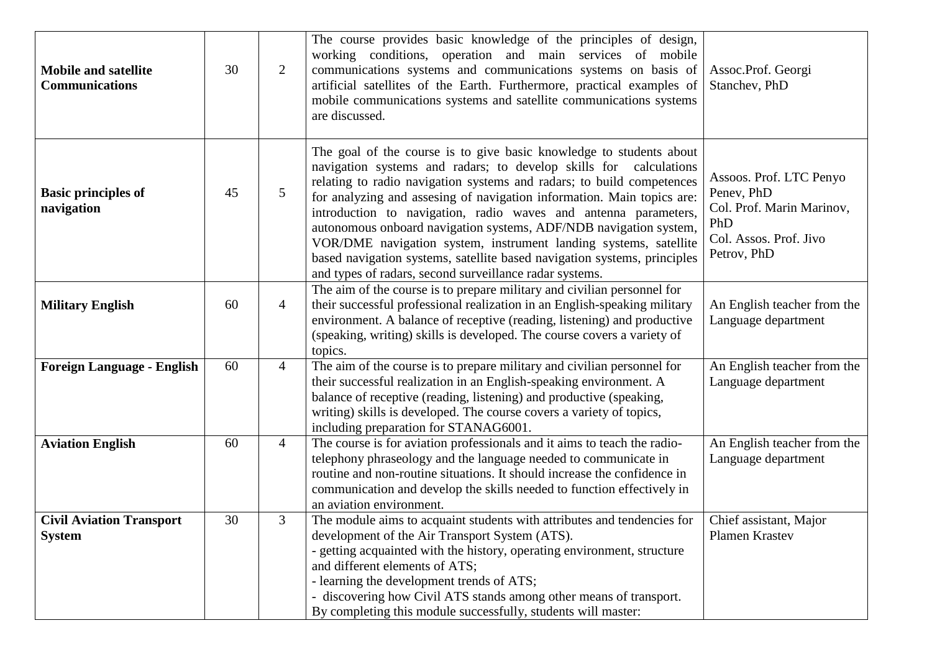| <b>Mobile and satellite</b><br><b>Communications</b> | 30 | 2              | The course provides basic knowledge of the principles of design,<br>working conditions, operation and main services of mobile<br>communications systems and communications systems on basis of<br>artificial satellites of the Earth. Furthermore, practical examples of<br>mobile communications systems and satellite communications systems<br>are discussed.                                                                                                                                                                                                                                                                               | Assoc.Prof. Georgi<br>Stanchev, PhD                                                                                |
|------------------------------------------------------|----|----------------|------------------------------------------------------------------------------------------------------------------------------------------------------------------------------------------------------------------------------------------------------------------------------------------------------------------------------------------------------------------------------------------------------------------------------------------------------------------------------------------------------------------------------------------------------------------------------------------------------------------------------------------------|--------------------------------------------------------------------------------------------------------------------|
| <b>Basic principles of</b><br>navigation             | 45 | 5              | The goal of the course is to give basic knowledge to students about<br>navigation systems and radars; to develop skills for calculations<br>relating to radio navigation systems and radars; to build competences<br>for analyzing and assesing of navigation information. Main topics are:<br>introduction to navigation, radio waves and antenna parameters,<br>autonomous onboard navigation systems, ADF/NDB navigation system,<br>VOR/DME navigation system, instrument landing systems, satellite<br>based navigation systems, satellite based navigation systems, principles<br>and types of radars, second surveillance radar systems. | Assoos. Prof. LTC Penyo<br>Penev, PhD<br>Col. Prof. Marin Marinov,<br>PhD<br>Col. Assos. Prof. Jivo<br>Petrov, PhD |
| <b>Military English</b>                              | 60 | $\overline{4}$ | The aim of the course is to prepare military and civilian personnel for<br>their successful professional realization in an English-speaking military<br>environment. A balance of receptive (reading, listening) and productive<br>(speaking, writing) skills is developed. The course covers a variety of<br>topics.                                                                                                                                                                                                                                                                                                                          | An English teacher from the<br>Language department                                                                 |
| <b>Foreign Language - English</b>                    | 60 | $\overline{4}$ | The aim of the course is to prepare military and civilian personnel for<br>their successful realization in an English-speaking environment. A<br>balance of receptive (reading, listening) and productive (speaking,<br>writing) skills is developed. The course covers a variety of topics,<br>including preparation for STANAG6001.                                                                                                                                                                                                                                                                                                          | An English teacher from the<br>Language department                                                                 |
| <b>Aviation English</b>                              | 60 | $\overline{4}$ | The course is for aviation professionals and it aims to teach the radio-<br>telephony phraseology and the language needed to communicate in<br>routine and non-routine situations. It should increase the confidence in<br>communication and develop the skills needed to function effectively in<br>an aviation environment.                                                                                                                                                                                                                                                                                                                  | An English teacher from the<br>Language department                                                                 |
| <b>Civil Aviation Transport</b><br><b>System</b>     | 30 | 3              | The module aims to acquaint students with attributes and tendencies for<br>development of the Air Transport System (ATS).<br>- getting acquainted with the history, operating environment, structure<br>and different elements of ATS;<br>- learning the development trends of ATS;<br>- discovering how Civil ATS stands among other means of transport.<br>By completing this module successfully, students will master:                                                                                                                                                                                                                     | Chief assistant, Major<br>Plamen Krastev                                                                           |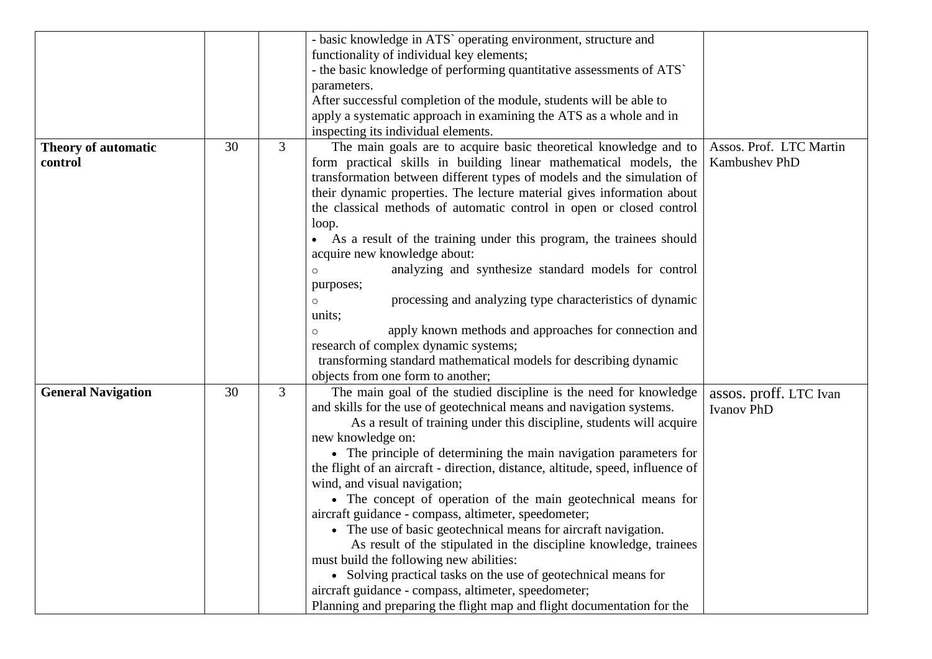|                                |    |   | - basic knowledge in ATS` operating environment, structure and<br>functionality of individual key elements;                                                                                                                                                                                                                                                       |                                          |
|--------------------------------|----|---|-------------------------------------------------------------------------------------------------------------------------------------------------------------------------------------------------------------------------------------------------------------------------------------------------------------------------------------------------------------------|------------------------------------------|
|                                |    |   | - the basic knowledge of performing quantitative assessments of ATS                                                                                                                                                                                                                                                                                               |                                          |
|                                |    |   | parameters.                                                                                                                                                                                                                                                                                                                                                       |                                          |
|                                |    |   | After successful completion of the module, students will be able to                                                                                                                                                                                                                                                                                               |                                          |
|                                |    |   | apply a systematic approach in examining the ATS as a whole and in                                                                                                                                                                                                                                                                                                |                                          |
|                                |    |   | inspecting its individual elements.                                                                                                                                                                                                                                                                                                                               |                                          |
| Theory of automatic<br>control | 30 | 3 | The main goals are to acquire basic theoretical knowledge and to<br>form practical skills in building linear mathematical models, the<br>transformation between different types of models and the simulation of<br>their dynamic properties. The lecture material gives information about<br>the classical methods of automatic control in open or closed control | Assos. Prof. LTC Martin<br>Kambushev PhD |
|                                |    |   | loop.<br>• As a result of the training under this program, the trainees should<br>acquire new knowledge about:                                                                                                                                                                                                                                                    |                                          |
|                                |    |   | analyzing and synthesize standard models for control<br>$\circ$<br>purposes;                                                                                                                                                                                                                                                                                      |                                          |
|                                |    |   | processing and analyzing type characteristics of dynamic<br>$\circ$<br>units;                                                                                                                                                                                                                                                                                     |                                          |
|                                |    |   | apply known methods and approaches for connection and                                                                                                                                                                                                                                                                                                             |                                          |
|                                |    |   | research of complex dynamic systems;                                                                                                                                                                                                                                                                                                                              |                                          |
|                                |    |   | transforming standard mathematical models for describing dynamic<br>objects from one form to another;                                                                                                                                                                                                                                                             |                                          |
| <b>General Navigation</b>      | 30 | 3 | The main goal of the studied discipline is the need for knowledge                                                                                                                                                                                                                                                                                                 | assos. proff. LTC Ivan                   |
|                                |    |   | and skills for the use of geotechnical means and navigation systems.                                                                                                                                                                                                                                                                                              | <b>Ivanov PhD</b>                        |
|                                |    |   | As a result of training under this discipline, students will acquire                                                                                                                                                                                                                                                                                              |                                          |
|                                |    |   | new knowledge on:                                                                                                                                                                                                                                                                                                                                                 |                                          |
|                                |    |   | • The principle of determining the main navigation parameters for                                                                                                                                                                                                                                                                                                 |                                          |
|                                |    |   | the flight of an aircraft - direction, distance, altitude, speed, influence of<br>wind, and visual navigation;                                                                                                                                                                                                                                                    |                                          |
|                                |    |   | • The concept of operation of the main geotechnical means for                                                                                                                                                                                                                                                                                                     |                                          |
|                                |    |   | aircraft guidance - compass, altimeter, speedometer;                                                                                                                                                                                                                                                                                                              |                                          |
|                                |    |   | • The use of basic geotechnical means for aircraft navigation.                                                                                                                                                                                                                                                                                                    |                                          |
|                                |    |   | As result of the stipulated in the discipline knowledge, trainees                                                                                                                                                                                                                                                                                                 |                                          |
|                                |    |   | must build the following new abilities:                                                                                                                                                                                                                                                                                                                           |                                          |
|                                |    |   | • Solving practical tasks on the use of geotechnical means for                                                                                                                                                                                                                                                                                                    |                                          |
|                                |    |   | aircraft guidance - compass, altimeter, speedometer;                                                                                                                                                                                                                                                                                                              |                                          |
|                                |    |   | Planning and preparing the flight map and flight documentation for the                                                                                                                                                                                                                                                                                            |                                          |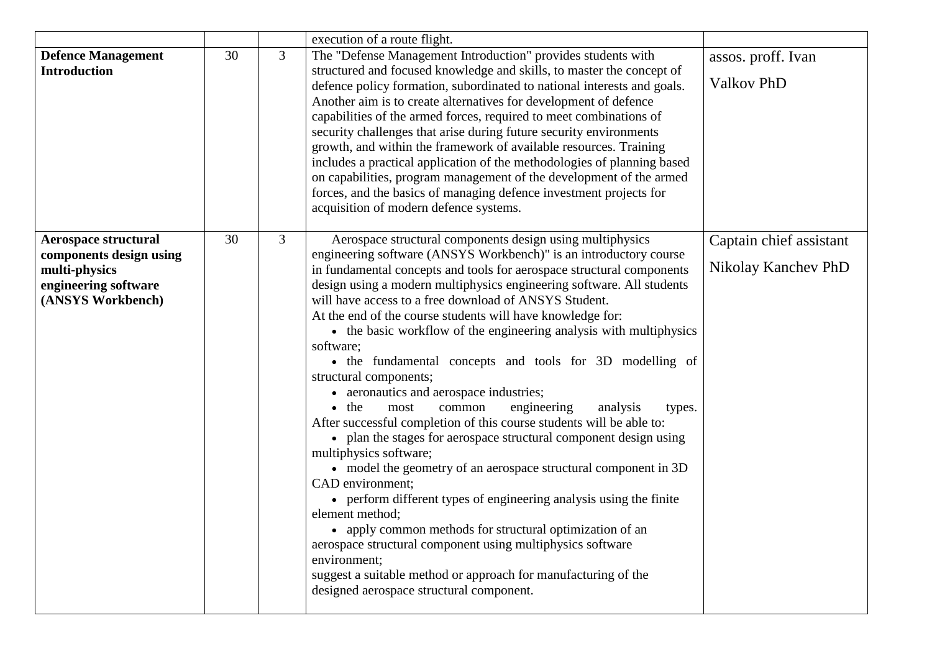|                                                                                                                      |    |                | execution of a route flight.                                                                                                                                                                                                                                                                                                                                                                                                                                                                                                                                                                                                                                                                                                                                                                                                                                                                                                                                                                                                                                                                                                                                                                                                                                                                                       |                                                |
|----------------------------------------------------------------------------------------------------------------------|----|----------------|--------------------------------------------------------------------------------------------------------------------------------------------------------------------------------------------------------------------------------------------------------------------------------------------------------------------------------------------------------------------------------------------------------------------------------------------------------------------------------------------------------------------------------------------------------------------------------------------------------------------------------------------------------------------------------------------------------------------------------------------------------------------------------------------------------------------------------------------------------------------------------------------------------------------------------------------------------------------------------------------------------------------------------------------------------------------------------------------------------------------------------------------------------------------------------------------------------------------------------------------------------------------------------------------------------------------|------------------------------------------------|
| <b>Defence Management</b><br><b>Introduction</b>                                                                     | 30 | $\overline{3}$ | The "Defense Management Introduction" provides students with<br>structured and focused knowledge and skills, to master the concept of<br>defence policy formation, subordinated to national interests and goals.<br>Another aim is to create alternatives for development of defence<br>capabilities of the armed forces, required to meet combinations of<br>security challenges that arise during future security environments<br>growth, and within the framework of available resources. Training<br>includes a practical application of the methodologies of planning based<br>on capabilities, program management of the development of the armed<br>forces, and the basics of managing defence investment projects for<br>acquisition of modern defence systems.                                                                                                                                                                                                                                                                                                                                                                                                                                                                                                                                            | assos. proff. Ivan<br><b>Valkov PhD</b>        |
| <b>Aerospace structural</b><br>components design using<br>multi-physics<br>engineering software<br>(ANSYS Workbench) | 30 | 3              | Aerospace structural components design using multiphysics<br>engineering software (ANSYS Workbench)" is an introductory course<br>in fundamental concepts and tools for aerospace structural components<br>design using a modern multiphysics engineering software. All students<br>will have access to a free download of ANSYS Student.<br>At the end of the course students will have knowledge for:<br>• the basic workflow of the engineering analysis with multiphysics<br>software;<br>• the fundamental concepts and tools for 3D modelling of<br>structural components;<br>• aeronautics and aerospace industries;<br>$\bullet$ the<br>engineering<br>most<br>common<br>analysis<br>types.<br>After successful completion of this course students will be able to:<br>• plan the stages for aerospace structural component design using<br>multiphysics software;<br>• model the geometry of an aerospace structural component in 3D<br>CAD environment;<br>• perform different types of engineering analysis using the finite<br>element method;<br>• apply common methods for structural optimization of an<br>aerospace structural component using multiphysics software<br>environment;<br>suggest a suitable method or approach for manufacturing of the<br>designed aerospace structural component. | Captain chief assistant<br>Nikolay Kanchev PhD |